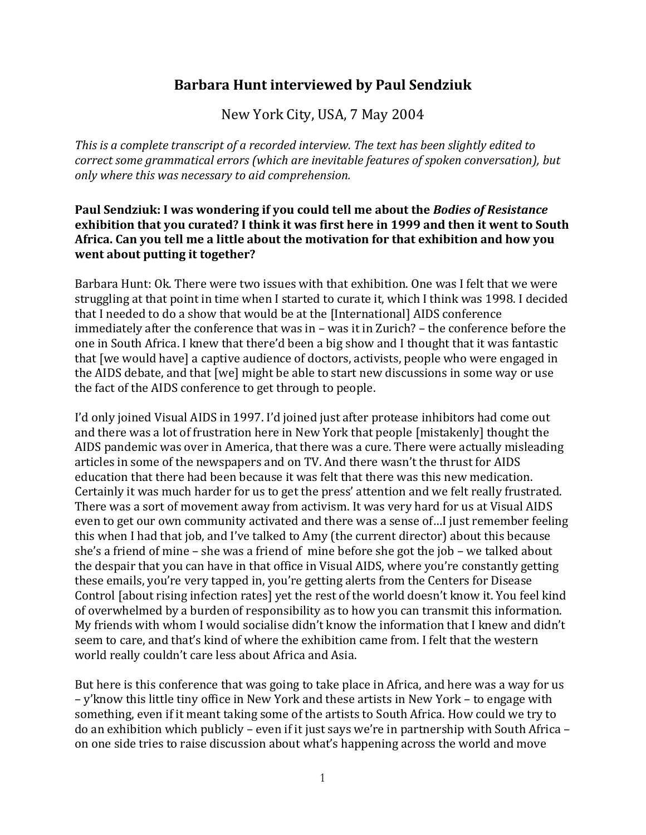# **Barbara Hunt interviewed by Paul Sendziuk**

New York City, USA, 7 May 2004

*This is a complete transcript of a recorded interview. The text has been slightly edited to correct some grammatical errors (which are inevitable features of spoken conversation), but only where this was necessary to aid comprehension.*

#### **Paul Sendziuk: I was wondering if you could tell me about the** *Bodies of Resistance* **exhibition that you curated? I think it was first here in 1999 and then it went to South Africa. Can you tell me a little about the motivation for that exhibition and how you went about putting it together?**

Barbara Hunt: Ok. There were two issues with that exhibition. One was I felt that we were struggling at that point in time when I started to curate it, which I think was 1998. I decided that I needed to do a show that would be at the [International] AIDS conference immediately after the conference that was in – was it in Zurich? – the conference before the one in South Africa. I knew that there'd been a big show and I thought that it was fantastic that [we would have] a captive audience of doctors, activists, people who were engaged in the AIDS debate, and that [we] might be able to start new discussions in some way or use the fact of the AIDS conference to get through to people.

I'd only joined Visual AIDS in 1997. I'd joined just after protease inhibitors had come out and there was a lot of frustration here in New York that people [mistakenly] thought the AIDS pandemic was over in America, that there was a cure. There were actually misleading articles in some of the newspapers and on TV. And there wasn't the thrust for AIDS education that there had been because it was felt that there was this new medication. Certainly it was much harder for us to get the press' attention and we felt really frustrated. There was a sort of movement away from activism. It was very hard for us at Visual AIDS even to get our own community activated and there was a sense of…I just remember feeling this when I had that job, and I've talked to Amy (the current director) about this because she's a friend of mine – she was a friend of mine before she got the job – we talked about the despair that you can have in that office in Visual AIDS, where you're constantly getting these emails, you're very tapped in, you're getting alerts from the Centers for Disease Control [about rising infection rates] yet the rest of the world doesn't know it. You feel kind of overwhelmed by a burden of responsibility as to how you can transmit this information. My friends with whom I would socialise didn't know the information that I knew and didn't seem to care, and that's kind of where the exhibition came from. I felt that the western world really couldn't care less about Africa and Asia.

But here is this conference that was going to take place in Africa, and here was a way for us – y'know this little tiny office in New York and these artists in New York – to engage with something, even if it meant taking some of the artists to South Africa. How could we try to do an exhibition which publicly – even if it just says we're in partnership with South Africa – on one side tries to raise discussion about what's happening across the world and move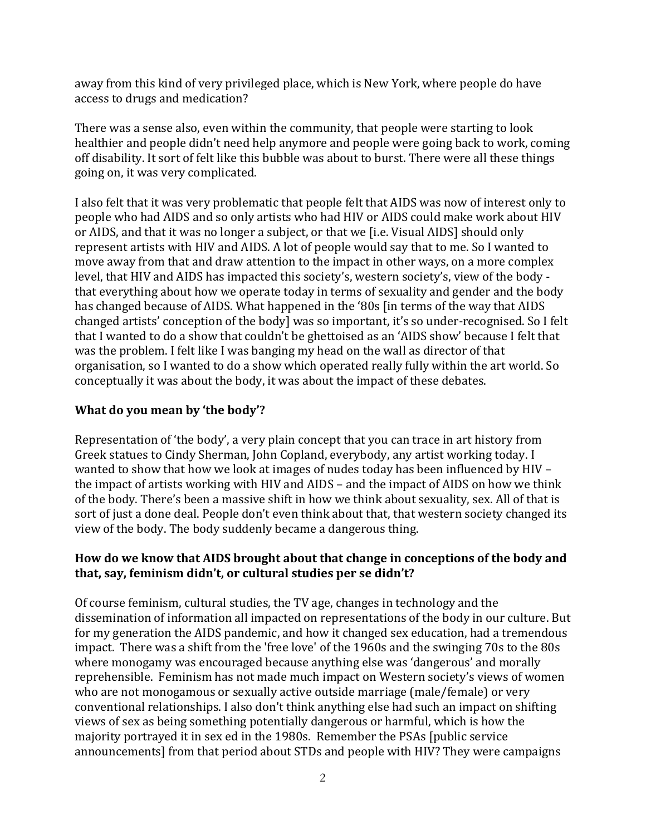away from this kind of very privileged place, which is New York, where people do have access to drugs and medication?

There was a sense also, even within the community, that people were starting to look healthier and people didn't need help anymore and people were going back to work, coming off disability. It sort of felt like this bubble was about to burst. There were all these things going on, it was very complicated.

I also felt that it was very problematic that people felt that AIDS was now of interest only to people who had AIDS and so only artists who had HIV or AIDS could make work about HIV or AIDS, and that it was no longer a subject, or that we [i.e. Visual AIDS] should only represent artists with HIV and AIDS. A lot of people would say that to me. So I wanted to move away from that and draw attention to the impact in other ways, on a more complex level, that HIV and AIDS has impacted this society's, western society's, view of the body that everything about how we operate today in terms of sexuality and gender and the body has changed because of AIDS. What happened in the '80s [in terms of the way that AIDS changed artists' conception of the body] was so important, it's so under-recognised. So I felt that I wanted to do a show that couldn't be ghettoised as an 'AIDS show' because I felt that was the problem. I felt like I was banging my head on the wall as director of that organisation, so I wanted to do a show which operated really fully within the art world. So conceptually it was about the body, it was about the impact of these debates.

#### **What do you mean by 'the body'?**

Representation of 'the body', a very plain concept that you can trace in art history from Greek statues to Cindy Sherman, John Copland, everybody, any artist working today. I wanted to show that how we look at images of nudes today has been influenced by HIV – the impact of artists working with HIV and AIDS – and the impact of AIDS on how we think of the body. There's been a massive shift in how we think about sexuality, sex. All of that is sort of just a done deal. People don't even think about that, that western society changed its view of the body. The body suddenly became a dangerous thing.

### **How do we know that AIDS brought about that change in conceptions of the body and that, say, feminism didn't, or cultural studies per se didn't?**

Of course feminism, cultural studies, the TV age, changes in technology and the dissemination of information all impacted on representations of the body in our culture. But for my generation the AIDS pandemic, and how it changed sex education, had a tremendous impact. There was a shift from the 'free love' of the 1960s and the swinging 70s to the 80s where monogamy was encouraged because anything else was 'dangerous' and morally reprehensible. Feminism has not made much impact on Western society's views of women who are not monogamous or sexually active outside marriage (male/female) or very conventional relationships. I also don't think anything else had such an impact on shifting views of sex as being something potentially dangerous or harmful, which is how the majority portrayed it in sex ed in the 1980s. Remember the PSAs [public service announcements] from that period about STDs and people with HIV? They were campaigns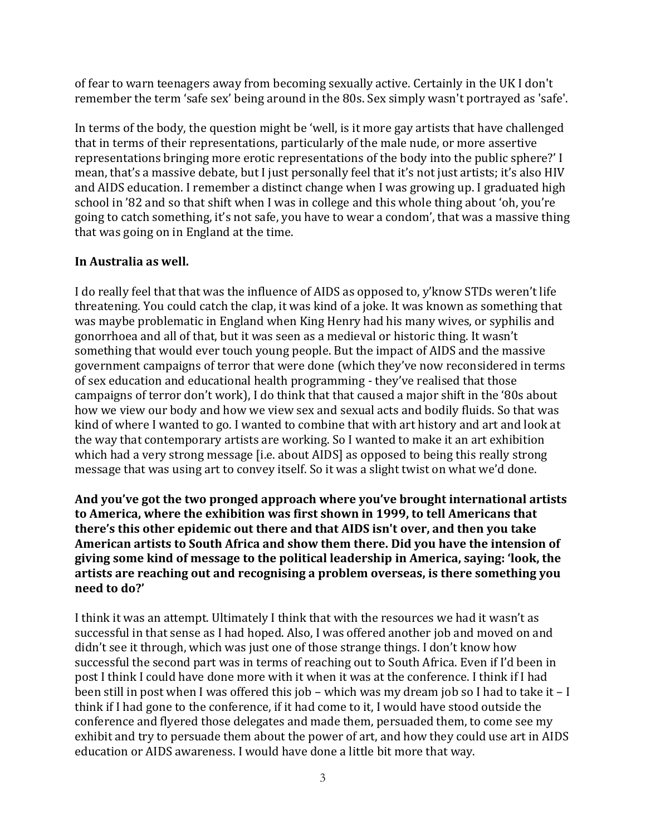of fear to warn teenagers away from becoming sexually active. Certainly in the UK I don't remember the term 'safe sex' being around in the 80s. Sex simply wasn't portrayed as 'safe'.

In terms of the body, the question might be 'well, is it more gay artists that have challenged that in terms of their representations, particularly of the male nude, or more assertive representations bringing more erotic representations of the body into the public sphere?' I mean, that's a massive debate, but I just personally feel that it's not just artists; it's also HIV and AIDS education. I remember a distinct change when I was growing up. I graduated high school in '82 and so that shift when I was in college and this whole thing about 'oh, you're going to catch something, it's not safe, you have to wear a condom', that was a massive thing that was going on in England at the time.

# **In Australia as well.**

I do really feel that that was the influence of AIDS as opposed to, y'know STDs weren't life threatening. You could catch the clap, it was kind of a joke. It was known as something that was maybe problematic in England when King Henry had his many wives, or syphilis and gonorrhoea and all of that, but it was seen as a medieval or historic thing. It wasn't something that would ever touch young people. But the impact of AIDS and the massive government campaigns of terror that were done (which they've now reconsidered in terms of sex education and educational health programming - they've realised that those campaigns of terror don't work), I do think that that caused a major shift in the '80s about how we view our body and how we view sex and sexual acts and bodily fluids. So that was kind of where I wanted to go. I wanted to combine that with art history and art and look at the way that contemporary artists are working. So I wanted to make it an art exhibition which had a very strong message [i.e. about AIDS] as opposed to being this really strong message that was using art to convey itself. So it was a slight twist on what we'd done.

### **And you've got the two pronged approach where you've brought international artists to America, where the exhibition was first shown in 1999, to tell Americans that there's this other epidemic out there and that AIDS isn't over, and then you take American artists to South Africa and show them there. Did you have the intension of giving some kind of message to the political leadership in America, saying: 'look, the artists are reaching out and recognising a problem overseas, is there something you need to do?'**

I think it was an attempt. Ultimately I think that with the resources we had it wasn't as successful in that sense as I had hoped. Also, I was offered another job and moved on and didn't see it through, which was just one of those strange things. I don't know how successful the second part was in terms of reaching out to South Africa. Even if I'd been in post I think I could have done more with it when it was at the conference. I think if I had been still in post when I was offered this job – which was my dream job so I had to take it – I think if I had gone to the conference, if it had come to it, I would have stood outside the conference and flyered those delegates and made them, persuaded them, to come see my exhibit and try to persuade them about the power of art, and how they could use art in AIDS education or AIDS awareness. I would have done a little bit more that way.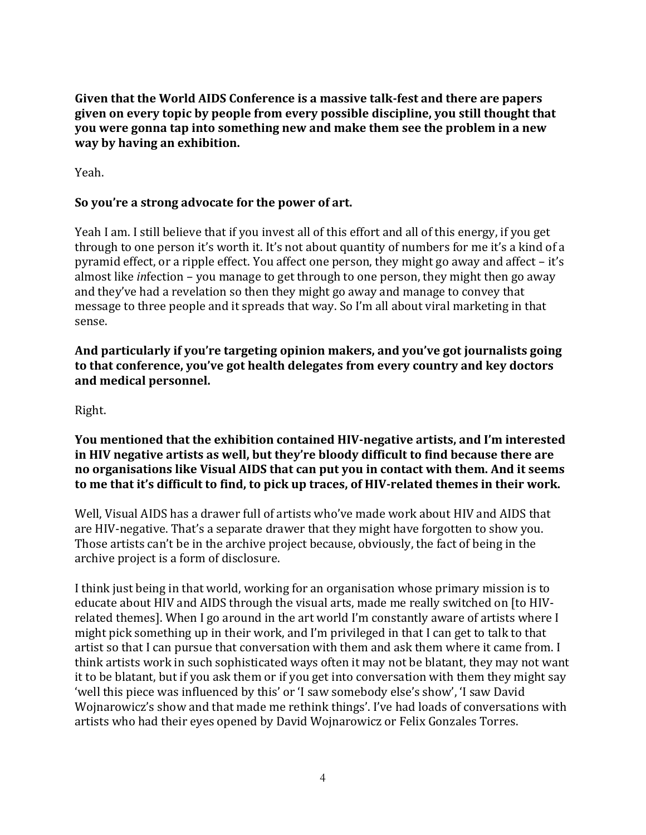**Given that the World AIDS Conference is a massive talk-fest and there are papers given on every topic by people from every possible discipline, you still thought that you were gonna tap into something new and make them see the problem in a new way by having an exhibition.**

Yeah.

### **So you're a strong advocate for the power of art.**

Yeah I am. I still believe that if you invest all of this effort and all of this energy, if you get through to one person it's worth it. It's not about quantity of numbers for me it's a kind of a pyramid effect, or a ripple effect. You affect one person, they might go away and affect – it's almost like *in*fection – you manage to get through to one person, they might then go away and they've had a revelation so then they might go away and manage to convey that message to three people and it spreads that way. So I'm all about viral marketing in that sense.

**And particularly if you're targeting opinion makers, and you've got journalists going to that conference, you've got health delegates from every country and key doctors and medical personnel.**

Right.

**You mentioned that the exhibition contained HIV-negative artists, and I'm interested in HIV negative artists as well, but they're bloody difficult to find because there are no organisations like Visual AIDS that can put you in contact with them. And it seems to me that it's difficult to find, to pick up traces, of HIV-related themes in their work.**

Well, Visual AIDS has a drawer full of artists who've made work about HIV and AIDS that are HIV-negative. That's a separate drawer that they might have forgotten to show you. Those artists can't be in the archive project because, obviously, the fact of being in the archive project is a form of disclosure.

I think just being in that world, working for an organisation whose primary mission is to educate about HIV and AIDS through the visual arts, made me really switched on [to HIVrelated themes]. When I go around in the art world I'm constantly aware of artists where I might pick something up in their work, and I'm privileged in that I can get to talk to that artist so that I can pursue that conversation with them and ask them where it came from. I think artists work in such sophisticated ways often it may not be blatant, they may not want it to be blatant, but if you ask them or if you get into conversation with them they might say 'well this piece was influenced by this' or 'I saw somebody else's show', 'I saw David Wojnarowicz's show and that made me rethink things'. I've had loads of conversations with artists who had their eyes opened by David Wojnarowicz or Felix Gonzales Torres.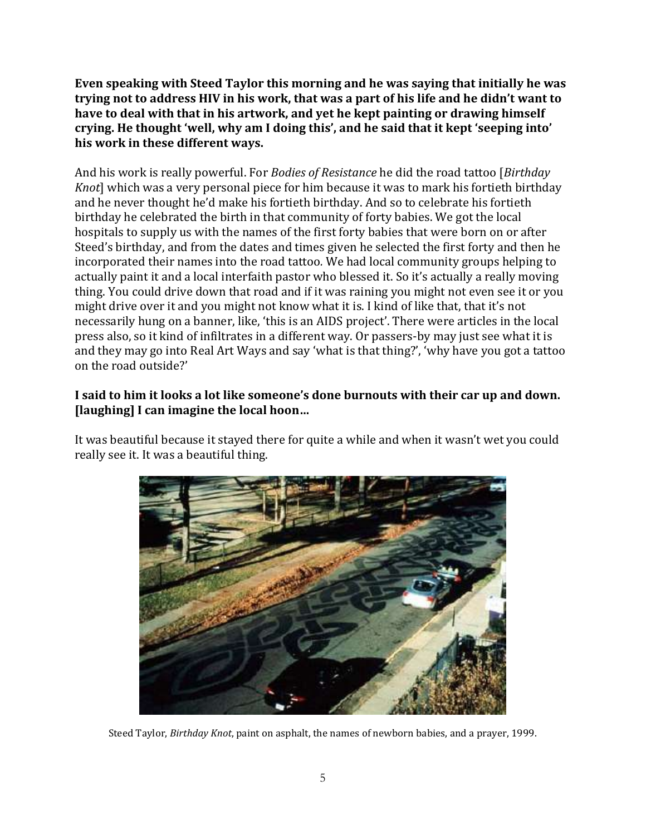**Even speaking with Steed Taylor this morning and he was saying that initially he was trying not to address HIV in his work, that was a part of his life and he didn't want to have to deal with that in his artwork, and yet he kept painting or drawing himself crying. He thought 'well, why am I doing this', and he said that it kept 'seeping into' his work in these different ways.**

And his work is really powerful. For *Bodies of Resistance* he did the road tattoo [*Birthday Knot*] which was a very personal piece for him because it was to mark his fortieth birthday and he never thought he'd make his fortieth birthday. And so to celebrate his fortieth birthday he celebrated the birth in that community of forty babies. We got the local hospitals to supply us with the names of the first forty babies that were born on or after Steed's birthday, and from the dates and times given he selected the first forty and then he incorporated their names into the road tattoo*.* We had local community groups helping to actually paint it and a local interfaith pastor who blessed it. So it's actually a really moving thing. You could drive down that road and if it was raining you might not even see it or you might drive over it and you might not know what it is. I kind of like that, that it's not necessarily hung on a banner, like, 'this is an AIDS project'. There were articles in the local press also, so it kind of infiltrates in a different way. Or passers-by may just see what it is and they may go into Real Art Ways and say 'what is that thing?', 'why have you got a tattoo on the road outside?'

## **I said to him it looks a lot like someone's done burnouts with their car up and down. [laughing] I can imagine the local hoon…**

It was beautiful because it stayed there for quite a while and when it wasn't wet you could really see it. It was a beautiful thing.



Steed Taylor, *Birthday Knot*, paint on asphalt, the names of newborn babies, and a prayer, 1999.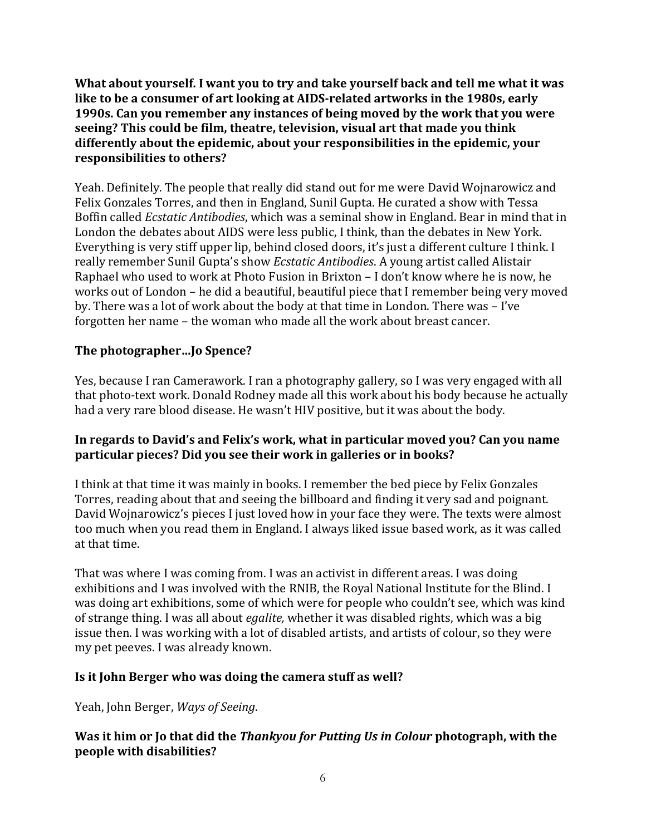**What about yourself. I want you to try and take yourself back and tell me what it was like to be a consumer of art looking at AIDS-related artworks in the 1980s, early 1990s. Can you remember any instances of being moved by the work that you were seeing? This could be film, theatre, television, visual art that made you think differently about the epidemic, about your responsibilities in the epidemic, your responsibilities to others?**

Yeah. Definitely. The people that really did stand out for me were David Wojnarowicz and Felix Gonzales Torres, and then in England, Sunil Gupta. He curated a show with Tessa Boffin called *Ecstatic Antibodies*, which was a seminal show in England. Bear in mind that in London the debates about AIDS were less public, I think, than the debates in New York. Everything is very stiff upper lip, behind closed doors, it's just a different culture I think. I really remember Sunil Gupta's show *Ecstatic Antibodies*. A young artist called Alistair Raphael who used to work at Photo Fusion in Brixton – I don't know where he is now, he works out of London – he did a beautiful, beautiful piece that I remember being very moved by. There was a lot of work about the body at that time in London. There was – I've forgotten her name – the woman who made all the work about breast cancer.

# **The photographer…Jo Spence?**

Yes, because I ran Camerawork. I ran a photography gallery, so I was very engaged with all that photo-text work. Donald Rodney made all this work about his body because he actually had a very rare blood disease. He wasn't HIV positive, but it was about the body.

### **In regards to David's and Felix's work, what in particular moved you? Can you name particular pieces? Did you see their work in galleries or in books?**

I think at that time it was mainly in books. I remember the bed piece by Felix Gonzales Torres, reading about that and seeing the billboard and finding it very sad and poignant. David Wojnarowicz's pieces I just loved how in your face they were. The texts were almost too much when you read them in England. I always liked issue based work, as it was called at that time.

That was where I was coming from. I was an activist in different areas. I was doing exhibitions and I was involved with the RNIB, the Royal National Institute for the Blind. I was doing art exhibitions, some of which were for people who couldn't see, which was kind of strange thing. I was all about *egalite,* whether it was disabled rights, which was a big issue then. I was working with a lot of disabled artists, and artists of colour, so they were my pet peeves. I was already known.

# **Is it John Berger who was doing the camera stuff as well?**

Yeah, John Berger, *Ways of Seeing*.

### **Was it him or Jo that did the** *Thankyou for Putting Us in Colour* **photograph, with the people with disabilities?**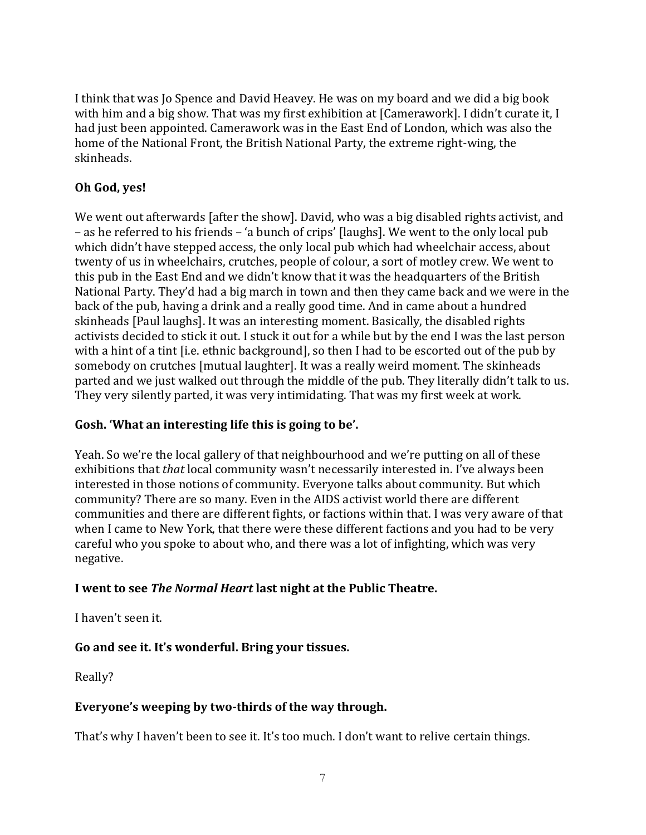I think that was Jo Spence and David Heavey. He was on my board and we did a big book with him and a big show. That was my first exhibition at [Camerawork]. I didn't curate it, I had just been appointed. Camerawork was in the East End of London, which was also the home of the National Front, the British National Party, the extreme right-wing, the skinheads.

# **Oh God, yes!**

We went out afterwards [after the show]. David, who was a big disabled rights activist, and – as he referred to his friends – 'a bunch of crips' [laughs]. We went to the only local pub which didn't have stepped access, the only local pub which had wheelchair access, about twenty of us in wheelchairs, crutches, people of colour, a sort of motley crew. We went to this pub in the East End and we didn't know that it was the headquarters of the British National Party. They'd had a big march in town and then they came back and we were in the back of the pub, having a drink and a really good time. And in came about a hundred skinheads [Paul laughs]. It was an interesting moment. Basically, the disabled rights activists decided to stick it out. I stuck it out for a while but by the end I was the last person with a hint of a tint [i.e. ethnic background], so then I had to be escorted out of the pub by somebody on crutches [mutual laughter]. It was a really weird moment. The skinheads parted and we just walked out through the middle of the pub. They literally didn't talk to us. They very silently parted, it was very intimidating. That was my first week at work.

# **Gosh. 'What an interesting life this is going to be'.**

Yeah. So we're the local gallery of that neighbourhood and we're putting on all of these exhibitions that *that* local community wasn't necessarily interested in. I've always been interested in those notions of community. Everyone talks about community. But which community? There are so many. Even in the AIDS activist world there are different communities and there are different fights, or factions within that. I was very aware of that when I came to New York, that there were these different factions and you had to be very careful who you spoke to about who, and there was a lot of infighting, which was very negative.

# **I went to see** *The Normal Heart* **last night at the Public Theatre.**

I haven't seen it.

# **Go and see it. It's wonderful. Bring your tissues.**

Really?

# **Everyone's weeping by two-thirds of the way through.**

That's why I haven't been to see it. It's too much. I don't want to relive certain things.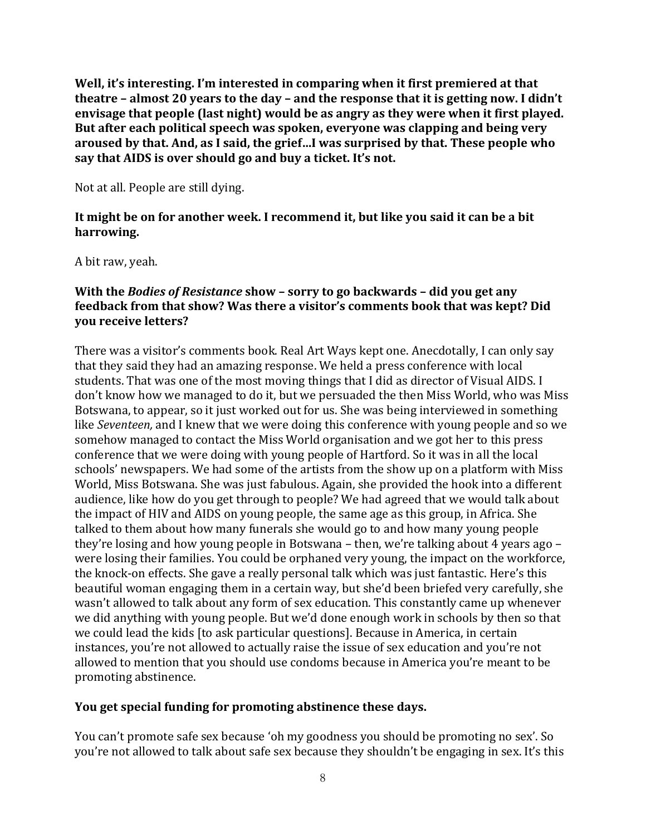**Well, it's interesting. I'm interested in comparing when it first premiered at that theatre – almost 20 years to the day – and the response that it is getting now. I didn't envisage that people (last night) would be as angry as they were when it first played. But after each political speech was spoken, everyone was clapping and being very aroused by that. And, as I said, the grief…I was surprised by that. These people who say that AIDS is over should go and buy a ticket. It's not.**

Not at all. People are still dying.

### **It might be on for another week. I recommend it, but like you said it can be a bit harrowing.**

A bit raw, yeah.

### **With the** *Bodies of Resistance* **show – sorry to go backwards – did you get any feedback from that show? Was there a visitor's comments book that was kept? Did you receive letters?**

There was a visitor's comments book. Real Art Ways kept one. Anecdotally, I can only say that they said they had an amazing response. We held a press conference with local students. That was one of the most moving things that I did as director of Visual AIDS. I don't know how we managed to do it, but we persuaded the then Miss World, who was Miss Botswana, to appear, so it just worked out for us. She was being interviewed in something like *Seventeen,* and I knew that we were doing this conference with young people and so we somehow managed to contact the Miss World organisation and we got her to this press conference that we were doing with young people of Hartford. So it was in all the local schools' newspapers. We had some of the artists from the show up on a platform with Miss World, Miss Botswana. She was just fabulous. Again, she provided the hook into a different audience, like how do you get through to people? We had agreed that we would talk about the impact of HIV and AIDS on young people, the same age as this group, in Africa. She talked to them about how many funerals she would go to and how many young people they're losing and how young people in Botswana – then, we're talking about 4 years ago – were losing their families. You could be orphaned very young, the impact on the workforce, the knock-on effects. She gave a really personal talk which was just fantastic. Here's this beautiful woman engaging them in a certain way, but she'd been briefed very carefully, she wasn't allowed to talk about any form of sex education. This constantly came up whenever we did anything with young people. But we'd done enough work in schools by then so that we could lead the kids [to ask particular questions]. Because in America, in certain instances, you're not allowed to actually raise the issue of sex education and you're not allowed to mention that you should use condoms because in America you're meant to be promoting abstinence.

# **You get special funding for promoting abstinence these days.**

You can't promote safe sex because 'oh my goodness you should be promoting no sex'. So you're not allowed to talk about safe sex because they shouldn't be engaging in sex. It's this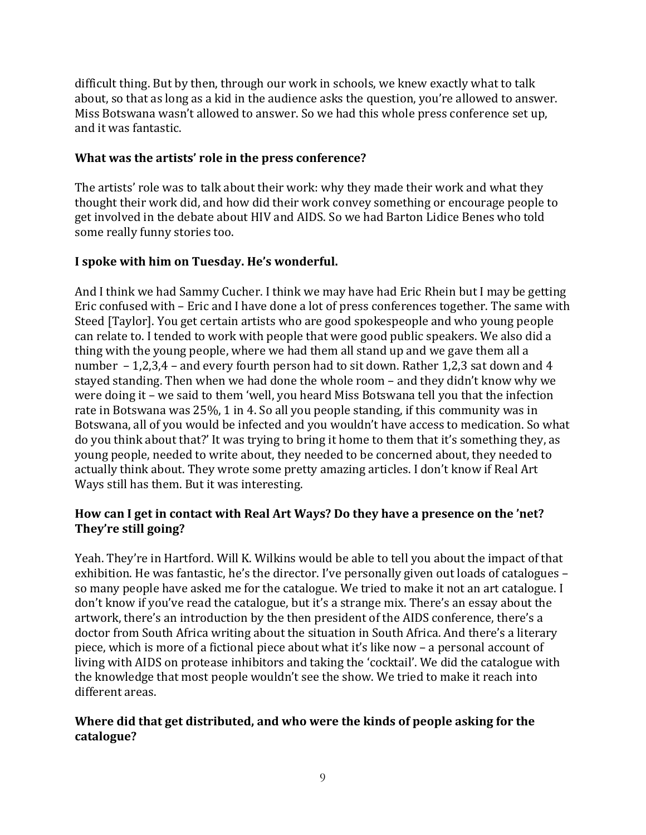difficult thing. But by then, through our work in schools, we knew exactly what to talk about, so that as long as a kid in the audience asks the question, you're allowed to answer. Miss Botswana wasn't allowed to answer. So we had this whole press conference set up, and it was fantastic.

## **What was the artists' role in the press conference?**

The artists' role was to talk about their work: why they made their work and what they thought their work did, and how did their work convey something or encourage people to get involved in the debate about HIV and AIDS. So we had Barton Lidice Benes who told some really funny stories too.

# **I spoke with him on Tuesday. He's wonderful.**

And I think we had Sammy Cucher. I think we may have had Eric Rhein but I may be getting Eric confused with – Eric and I have done a lot of press conferences together. The same with Steed [Taylor]. You get certain artists who are good spokespeople and who young people can relate to. I tended to work with people that were good public speakers. We also did a thing with the young people, where we had them all stand up and we gave them all a number – 1,2,3,4 – and every fourth person had to sit down. Rather 1,2,3 sat down and 4 stayed standing. Then when we had done the whole room – and they didn't know why we were doing it – we said to them 'well, you heard Miss Botswana tell you that the infection rate in Botswana was 25%, 1 in 4. So all you people standing, if this community was in Botswana, all of you would be infected and you wouldn't have access to medication. So what do you think about that?' It was trying to bring it home to them that it's something they, as young people, needed to write about, they needed to be concerned about, they needed to actually think about. They wrote some pretty amazing articles. I don't know if Real Art Ways still has them. But it was interesting.

### **How can I get in contact with Real Art Ways? Do they have a presence on the 'net? They're still going?**

Yeah. They're in Hartford. Will K. Wilkins would be able to tell you about the impact of that exhibition. He was fantastic, he's the director. I've personally given out loads of catalogues – so many people have asked me for the catalogue. We tried to make it not an art catalogue. I don't know if you've read the catalogue, but it's a strange mix. There's an essay about the artwork, there's an introduction by the then president of the AIDS conference, there's a doctor from South Africa writing about the situation in South Africa. And there's a literary piece, which is more of a fictional piece about what it's like now – a personal account of living with AIDS on protease inhibitors and taking the 'cocktail'. We did the catalogue with the knowledge that most people wouldn't see the show. We tried to make it reach into different areas.

# **Where did that get distributed, and who were the kinds of people asking for the catalogue?**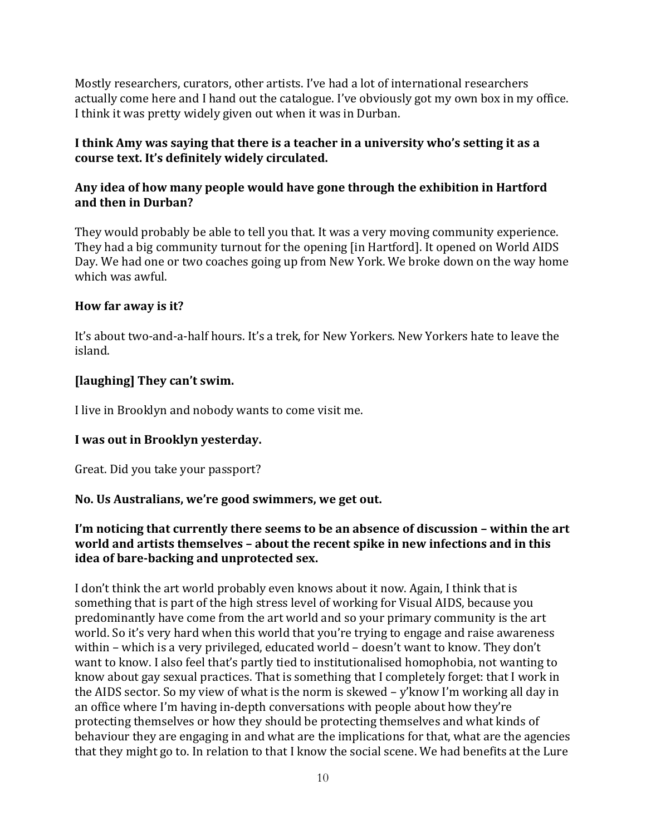Mostly researchers, curators, other artists. I've had a lot of international researchers actually come here and I hand out the catalogue. I've obviously got my own box in my office. I think it was pretty widely given out when it was in Durban.

### **I think Amy was saying that there is a teacher in a university who's setting it as a course text. It's definitely widely circulated.**

### **Any idea of how many people would have gone through the exhibition in Hartford and then in Durban?**

They would probably be able to tell you that. It was a very moving community experience. They had a big community turnout for the opening [in Hartford]. It opened on World AIDS Day. We had one or two coaches going up from New York. We broke down on the way home which was awful.

### **How far away is it?**

It's about two-and-a-half hours. It's a trek, for New Yorkers. New Yorkers hate to leave the island.

### **[laughing] They can't swim.**

I live in Brooklyn and nobody wants to come visit me.

#### **I was out in Brooklyn yesterday.**

Great. Did you take your passport?

#### **No. Us Australians, we're good swimmers, we get out.**

### **I'm noticing that currently there seems to be an absence of discussion – within the art world and artists themselves – about the recent spike in new infections and in this idea of bare-backing and unprotected sex.**

I don't think the art world probably even knows about it now. Again, I think that is something that is part of the high stress level of working for Visual AIDS, because you predominantly have come from the art world and so your primary community is the art world. So it's very hard when this world that you're trying to engage and raise awareness within – which is a very privileged, educated world – doesn't want to know. They don't want to know. I also feel that's partly tied to institutionalised homophobia, not wanting to know about gay sexual practices. That is something that I completely forget: that I work in the AIDS sector. So my view of what is the norm is skewed – y'know I'm working all day in an office where I'm having in-depth conversations with people about how they're protecting themselves or how they should be protecting themselves and what kinds of behaviour they are engaging in and what are the implications for that, what are the agencies that they might go to. In relation to that I know the social scene. We had benefits at the Lure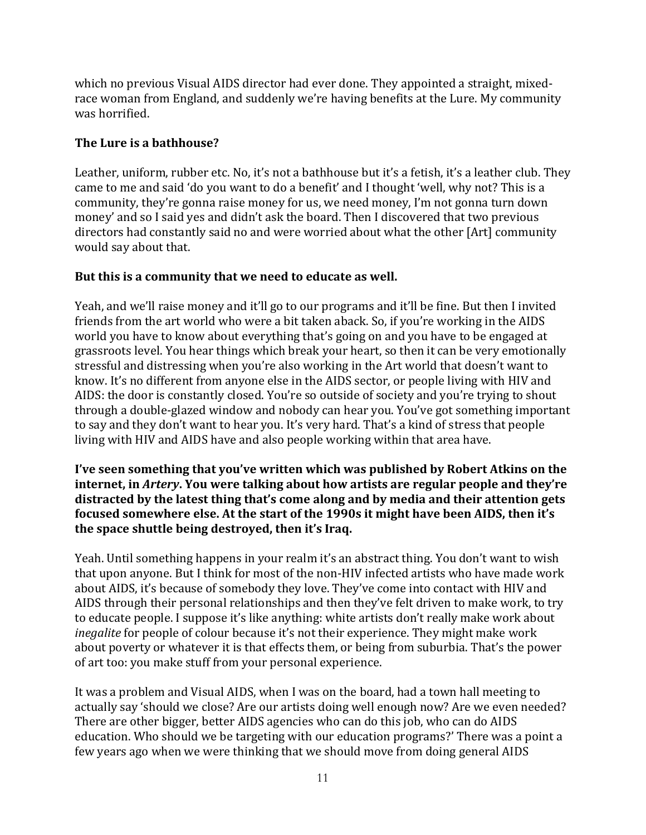which no previous Visual AIDS director had ever done. They appointed a straight, mixedrace woman from England, and suddenly we're having benefits at the Lure. My community was horrified.

# **The Lure is a bathhouse?**

Leather, uniform, rubber etc. No, it's not a bathhouse but it's a fetish, it's a leather club. They came to me and said 'do you want to do a benefit' and I thought 'well, why not? This is a community, they're gonna raise money for us, we need money, I'm not gonna turn down money' and so I said yes and didn't ask the board. Then I discovered that two previous directors had constantly said no and were worried about what the other [Art] community would say about that.

# **But this is a community that we need to educate as well.**

Yeah, and we'll raise money and it'll go to our programs and it'll be fine. But then I invited friends from the art world who were a bit taken aback. So, if you're working in the AIDS world you have to know about everything that's going on and you have to be engaged at grassroots level. You hear things which break your heart, so then it can be very emotionally stressful and distressing when you're also working in the Art world that doesn't want to know. It's no different from anyone else in the AIDS sector, or people living with HIV and AIDS: the door is constantly closed. You're so outside of society and you're trying to shout through a double-glazed window and nobody can hear you. You've got something important to say and they don't want to hear you. It's very hard. That's a kind of stress that people living with HIV and AIDS have and also people working within that area have.

**I've seen something that you've written which was published by Robert Atkins on the internet, in** *Artery***. You were talking about how artists are regular people and they're distracted by the latest thing that's come along and by media and their attention gets focused somewhere else. At the start of the 1990s it might have been AIDS, then it's the space shuttle being destroyed, then it's Iraq.**

Yeah. Until something happens in your realm it's an abstract thing. You don't want to wish that upon anyone. But I think for most of the non-HIV infected artists who have made work about AIDS, it's because of somebody they love. They've come into contact with HIV and AIDS through their personal relationships and then they've felt driven to make work, to try to educate people. I suppose it's like anything: white artists don't really make work about *inegalite* for people of colour because it's not their experience. They might make work about poverty or whatever it is that effects them, or being from suburbia. That's the power of art too: you make stuff from your personal experience.

It was a problem and Visual AIDS, when I was on the board, had a town hall meeting to actually say 'should we close? Are our artists doing well enough now? Are we even needed? There are other bigger, better AIDS agencies who can do this job, who can do AIDS education. Who should we be targeting with our education programs?' There was a point a few years ago when we were thinking that we should move from doing general AIDS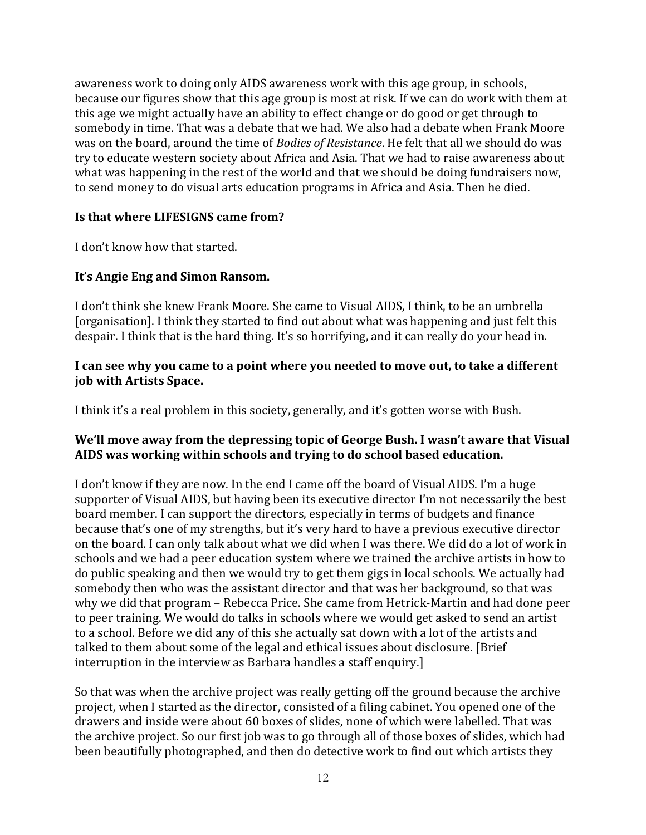awareness work to doing only AIDS awareness work with this age group, in schools, because our figures show that this age group is most at risk. If we can do work with them at this age we might actually have an ability to effect change or do good or get through to somebody in time. That was a debate that we had. We also had a debate when Frank Moore was on the board, around the time of *Bodies of Resistance*. He felt that all we should do was try to educate western society about Africa and Asia. That we had to raise awareness about what was happening in the rest of the world and that we should be doing fundraisers now, to send money to do visual arts education programs in Africa and Asia. Then he died.

#### **Is that where LIFESIGNS came from?**

I don't know how that started.

### **It's Angie Eng and Simon Ransom.**

I don't think she knew Frank Moore. She came to Visual AIDS, I think, to be an umbrella [organisation]. I think they started to find out about what was happening and just felt this despair. I think that is the hard thing. It's so horrifying, and it can really do your head in.

#### **I can see why you came to a point where you needed to move out, to take a different job with Artists Space.**

I think it's a real problem in this society, generally, and it's gotten worse with Bush.

### **We'll move away from the depressing topic of George Bush. I wasn't aware that Visual AIDS was working within schools and trying to do school based education.**

I don't know if they are now. In the end I came off the board of Visual AIDS. I'm a huge supporter of Visual AIDS, but having been its executive director I'm not necessarily the best board member. I can support the directors, especially in terms of budgets and finance because that's one of my strengths, but it's very hard to have a previous executive director on the board. I can only talk about what we did when I was there. We did do a lot of work in schools and we had a peer education system where we trained the archive artists in how to do public speaking and then we would try to get them gigs in local schools. We actually had somebody then who was the assistant director and that was her background, so that was why we did that program – Rebecca Price. She came from Hetrick-Martin and had done peer to peer training. We would do talks in schools where we would get asked to send an artist to a school. Before we did any of this she actually sat down with a lot of the artists and talked to them about some of the legal and ethical issues about disclosure. [Brief interruption in the interview as Barbara handles a staff enquiry.]

So that was when the archive project was really getting off the ground because the archive project, when I started as the director, consisted of a filing cabinet. You opened one of the drawers and inside were about 60 boxes of slides, none of which were labelled. That was the archive project. So our first job was to go through all of those boxes of slides, which had been beautifully photographed, and then do detective work to find out which artists they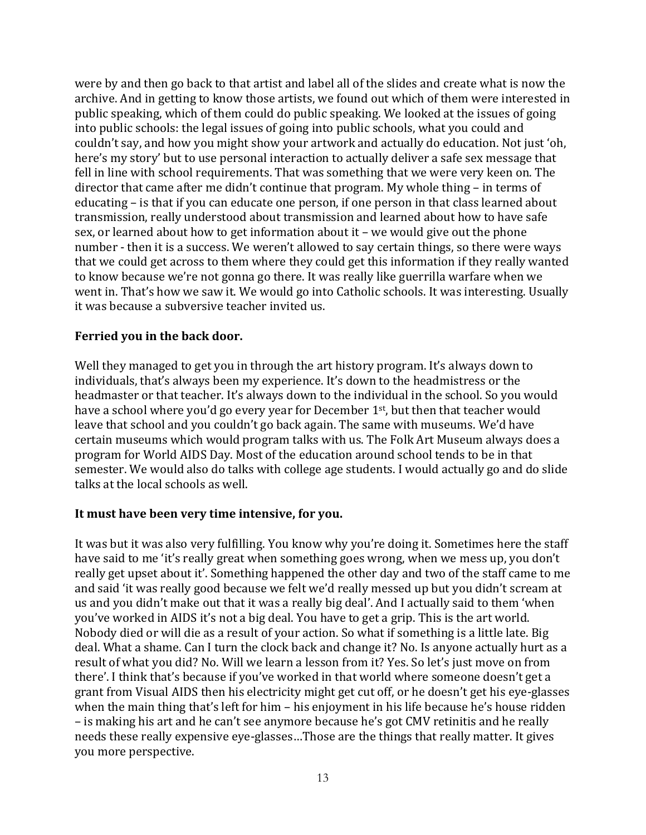were by and then go back to that artist and label all of the slides and create what is now the archive. And in getting to know those artists, we found out which of them were interested in public speaking, which of them could do public speaking. We looked at the issues of going into public schools: the legal issues of going into public schools, what you could and couldn't say, and how you might show your artwork and actually do education. Not just 'oh, here's my story' but to use personal interaction to actually deliver a safe sex message that fell in line with school requirements. That was something that we were very keen on. The director that came after me didn't continue that program. My whole thing – in terms of educating – is that if you can educate one person, if one person in that class learned about transmission, really understood about transmission and learned about how to have safe sex, or learned about how to get information about it – we would give out the phone number - then it is a success. We weren't allowed to say certain things, so there were ways that we could get across to them where they could get this information if they really wanted to know because we're not gonna go there. It was really like guerrilla warfare when we went in. That's how we saw it. We would go into Catholic schools. It was interesting. Usually it was because a subversive teacher invited us.

#### **Ferried you in the back door.**

Well they managed to get you in through the art history program. It's always down to individuals, that's always been my experience. It's down to the headmistress or the headmaster or that teacher. It's always down to the individual in the school. So you would have a school where you'd go every year for December 1<sup>st</sup>, but then that teacher would leave that school and you couldn't go back again. The same with museums. We'd have certain museums which would program talks with us. The Folk Art Museum always does a program for World AIDS Day. Most of the education around school tends to be in that semester. We would also do talks with college age students. I would actually go and do slide talks at the local schools as well.

# **It must have been very time intensive, for you.**

It was but it was also very fulfilling. You know why you're doing it. Sometimes here the staff have said to me 'it's really great when something goes wrong, when we mess up, you don't really get upset about it'. Something happened the other day and two of the staff came to me and said 'it was really good because we felt we'd really messed up but you didn't scream at us and you didn't make out that it was a really big deal'. And I actually said to them 'when you've worked in AIDS it's not a big deal. You have to get a grip. This is the art world. Nobody died or will die as a result of your action. So what if something is a little late. Big deal. What a shame. Can I turn the clock back and change it? No. Is anyone actually hurt as a result of what you did? No. Will we learn a lesson from it? Yes. So let's just move on from there'. I think that's because if you've worked in that world where someone doesn't get a grant from Visual AIDS then his electricity might get cut off, or he doesn't get his eye-glasses when the main thing that's left for him – his enjoyment in his life because he's house ridden – is making his art and he can't see anymore because he's got CMV retinitis and he really needs these really expensive eye-glasses…Those are the things that really matter. It gives you more perspective.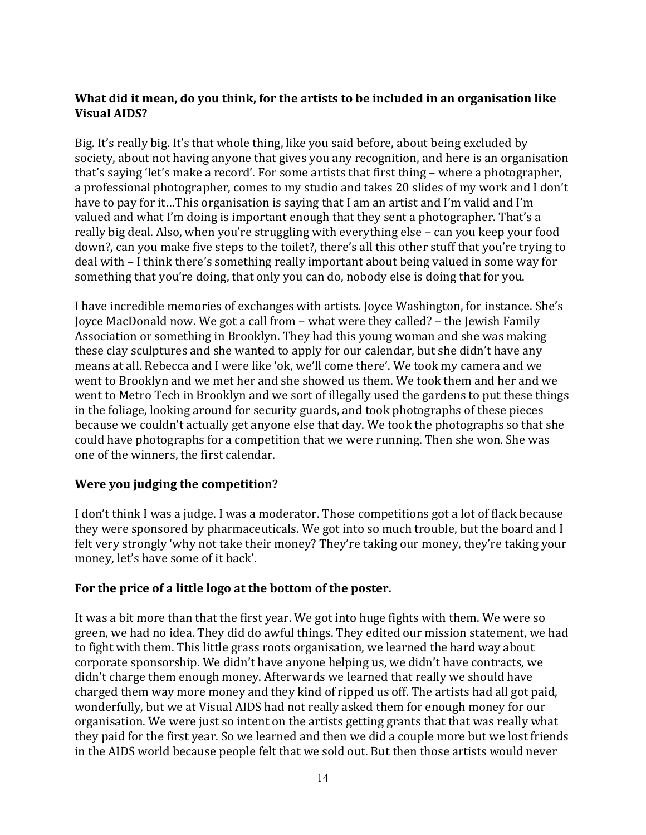### **What did it mean, do you think, for the artists to be included in an organisation like Visual AIDS?**

Big. It's really big. It's that whole thing, like you said before, about being excluded by society, about not having anyone that gives you any recognition, and here is an organisation that's saying 'let's make a record'. For some artists that first thing – where a photographer, a professional photographer, comes to my studio and takes 20 slides of my work and I don't have to pay for it…This organisation is saying that I am an artist and I'm valid and I'm valued and what I'm doing is important enough that they sent a photographer. That's a really big deal. Also, when you're struggling with everything else – can you keep your food down?, can you make five steps to the toilet?, there's all this other stuff that you're trying to deal with – I think there's something really important about being valued in some way for something that you're doing, that only you can do, nobody else is doing that for you.

I have incredible memories of exchanges with artists. Joyce Washington, for instance. She's Joyce MacDonald now. We got a call from – what were they called? – the Jewish Family Association or something in Brooklyn. They had this young woman and she was making these clay sculptures and she wanted to apply for our calendar, but she didn't have any means at all. Rebecca and I were like 'ok, we'll come there'. We took my camera and we went to Brooklyn and we met her and she showed us them. We took them and her and we went to Metro Tech in Brooklyn and we sort of illegally used the gardens to put these things in the foliage, looking around for security guards, and took photographs of these pieces because we couldn't actually get anyone else that day. We took the photographs so that she could have photographs for a competition that we were running. Then she won. She was one of the winners, the first calendar.

# **Were you judging the competition?**

I don't think I was a judge. I was a moderator. Those competitions got a lot of flack because they were sponsored by pharmaceuticals. We got into so much trouble, but the board and I felt very strongly 'why not take their money? They're taking our money, they're taking your money, let's have some of it back'.

#### **For the price of a little logo at the bottom of the poster.**

It was a bit more than that the first year. We got into huge fights with them. We were so green, we had no idea. They did do awful things. They edited our mission statement, we had to fight with them. This little grass roots organisation, we learned the hard way about corporate sponsorship. We didn't have anyone helping us, we didn't have contracts, we didn't charge them enough money. Afterwards we learned that really we should have charged them way more money and they kind of ripped us off. The artists had all got paid, wonderfully, but we at Visual AIDS had not really asked them for enough money for our organisation. We were just so intent on the artists getting grants that that was really what they paid for the first year. So we learned and then we did a couple more but we lost friends in the AIDS world because people felt that we sold out. But then those artists would never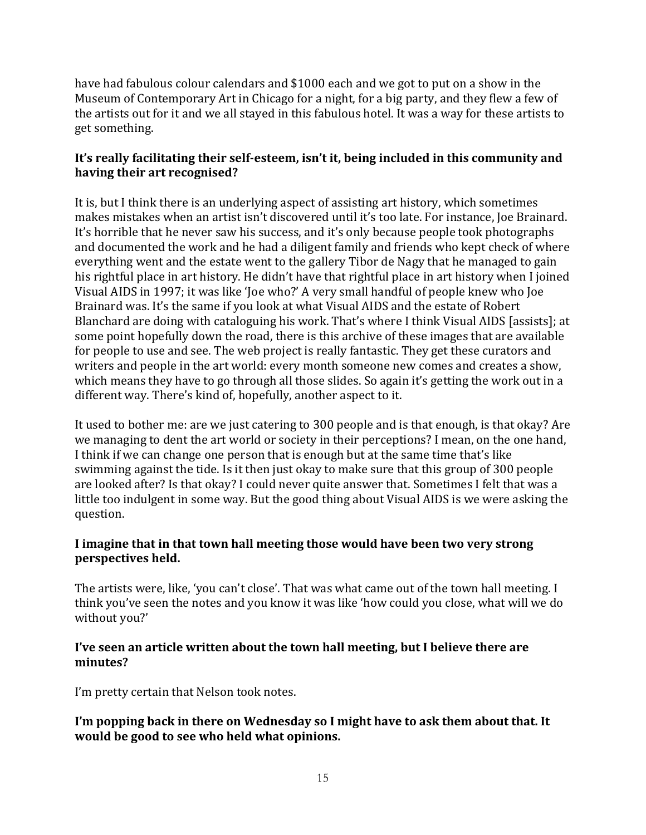have had fabulous colour calendars and \$1000 each and we got to put on a show in the Museum of Contemporary Art in Chicago for a night, for a big party, and they flew a few of the artists out for it and we all stayed in this fabulous hotel. It was a way for these artists to get something.

# **It's really facilitating their self-esteem, isn't it, being included in this community and having their art recognised?**

It is, but I think there is an underlying aspect of assisting art history, which sometimes makes mistakes when an artist isn't discovered until it's too late. For instance, Joe Brainard. It's horrible that he never saw his success, and it's only because people took photographs and documented the work and he had a diligent family and friends who kept check of where everything went and the estate went to the gallery Tibor de Nagy that he managed to gain his rightful place in art history. He didn't have that rightful place in art history when I joined Visual AIDS in 1997; it was like 'Joe who?' A very small handful of people knew who Joe Brainard was. It's the same if you look at what Visual AIDS and the estate of Robert Blanchard are doing with cataloguing his work. That's where I think Visual AIDS [assists]; at some point hopefully down the road, there is this archive of these images that are available for people to use and see. The web project is really fantastic. They get these curators and writers and people in the art world: every month someone new comes and creates a show, which means they have to go through all those slides. So again it's getting the work out in a different way. There's kind of, hopefully, another aspect to it.

It used to bother me: are we just catering to 300 people and is that enough, is that okay? Are we managing to dent the art world or society in their perceptions? I mean, on the one hand, I think if we can change one person that is enough but at the same time that's like swimming against the tide. Is it then just okay to make sure that this group of 300 people are looked after? Is that okay? I could never quite answer that. Sometimes I felt that was a little too indulgent in some way. But the good thing about Visual AIDS is we were asking the question.

# **I imagine that in that town hall meeting those would have been two very strong perspectives held.**

The artists were, like, 'you can't close'. That was what came out of the town hall meeting. I think you've seen the notes and you know it was like 'how could you close, what will we do without you?'

### **I've seen an article written about the town hall meeting, but I believe there are minutes?**

I'm pretty certain that Nelson took notes.

# **I'm popping back in there on Wednesday so I might have to ask them about that. It would be good to see who held what opinions.**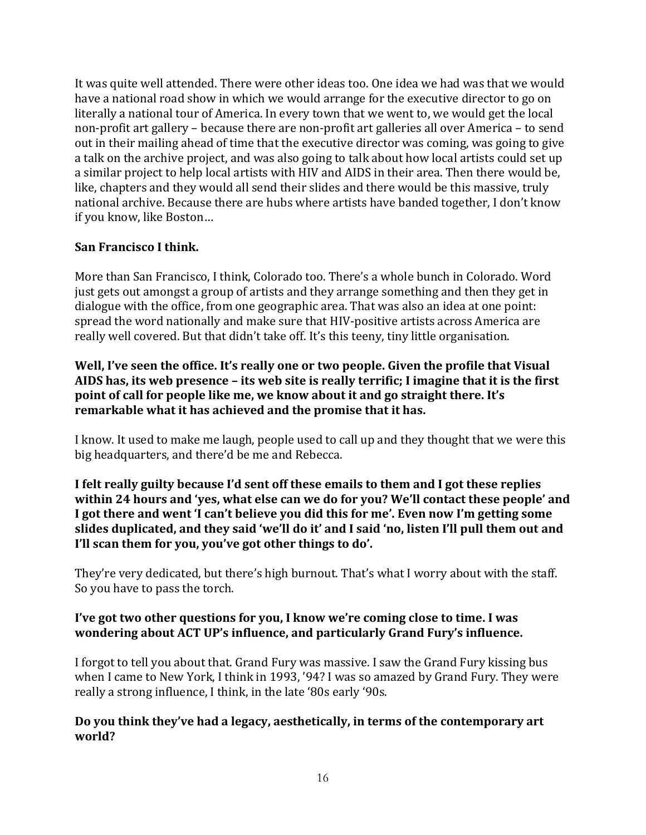It was quite well attended. There were other ideas too. One idea we had was that we would have a national road show in which we would arrange for the executive director to go on literally a national tour of America. In every town that we went to, we would get the local non-profit art gallery – because there are non-profit art galleries all over America – to send out in their mailing ahead of time that the executive director was coming, was going to give a talk on the archive project, and was also going to talk about how local artists could set up a similar project to help local artists with HIV and AIDS in their area. Then there would be, like, chapters and they would all send their slides and there would be this massive, truly national archive. Because there are hubs where artists have banded together, I don't know if you know, like Boston…

### **San Francisco I think.**

More than San Francisco, I think, Colorado too. There's a whole bunch in Colorado. Word just gets out amongst a group of artists and they arrange something and then they get in dialogue with the office, from one geographic area. That was also an idea at one point: spread the word nationally and make sure that HIV-positive artists across America are really well covered. But that didn't take off. It's this teeny, tiny little organisation.

**Well, I've seen the office. It's really one or two people. Given the profile that Visual AIDS has, its web presence – its web site is really terrific; I imagine that it is the first point of call for people like me, we know about it and go straight there. It's remarkable what it has achieved and the promise that it has.**

I know. It used to make me laugh, people used to call up and they thought that we were this big headquarters, and there'd be me and Rebecca.

**I felt really guilty because I'd sent off these emails to them and I got these replies within 24 hours and 'yes, what else can we do for you? We'll contact these people' and I got there and went 'I can't believe you did this for me'. Even now I'm getting some slides duplicated, and they said 'we'll do it' and I said 'no, listen I'll pull them out and I'll scan them for you, you've got other things to do'.**

They're very dedicated, but there's high burnout. That's what I worry about with the staff. So you have to pass the torch.

#### **I've got two other questions for you, I know we're coming close to time. I was wondering about ACT UP's influence, and particularly Grand Fury's influence.**

I forgot to tell you about that. Grand Fury was massive. I saw the Grand Fury kissing bus when I came to New York, I think in 1993, '94? I was so amazed by Grand Fury. They were really a strong influence, I think, in the late '80s early '90s.

#### **Do you think they've had a legacy, aesthetically, in terms of the contemporary art world?**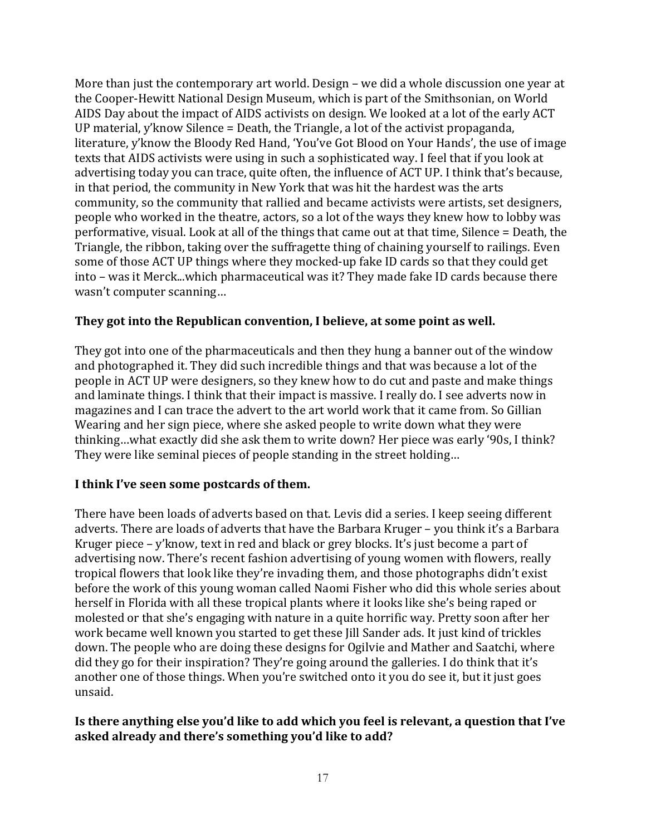More than just the contemporary art world. Design – we did a whole discussion one year at the Cooper-Hewitt National Design Museum, which is part of the Smithsonian, on World AIDS Day about the impact of AIDS activists on design. We looked at a lot of the early ACT UP material, y'know Silence = Death, the Triangle, a lot of the activist propaganda, literature, y'know the Bloody Red Hand, 'You've Got Blood on Your Hands', the use of image texts that AIDS activists were using in such a sophisticated way. I feel that if you look at advertising today you can trace, quite often, the influence of ACT UP. I think that's because, in that period, the community in New York that was hit the hardest was the arts community, so the community that rallied and became activists were artists, set designers, people who worked in the theatre, actors, so a lot of the ways they knew how to lobby was performative, visual. Look at all of the things that came out at that time, Silence = Death, the Triangle, the ribbon, taking over the suffragette thing of chaining yourself to railings. Even some of those ACT UP things where they mocked-up fake ID cards so that they could get into – was it Merck...which pharmaceutical was it? They made fake ID cards because there wasn't computer scanning…

#### **They got into the Republican convention, I believe, at some point as well.**

They got into one of the pharmaceuticals and then they hung a banner out of the window and photographed it. They did such incredible things and that was because a lot of the people in ACT UP were designers, so they knew how to do cut and paste and make things and laminate things. I think that their impact is massive. I really do. I see adverts now in magazines and I can trace the advert to the art world work that it came from. So Gillian Wearing and her sign piece, where she asked people to write down what they were thinking…what exactly did she ask them to write down? Her piece was early '90s, I think? They were like seminal pieces of people standing in the street holding…

# **I think I've seen some postcards of them.**

There have been loads of adverts based on that. Levis did a series. I keep seeing different adverts. There are loads of adverts that have the Barbara Kruger – you think it's a Barbara Kruger piece – y'know, text in red and black or grey blocks. It's just become a part of advertising now. There's recent fashion advertising of young women with flowers, really tropical flowers that look like they're invading them, and those photographs didn't exist before the work of this young woman called Naomi Fisher who did this whole series about herself in Florida with all these tropical plants where it looks like she's being raped or molested or that she's engaging with nature in a quite horrific way. Pretty soon after her work became well known you started to get these Jill Sander ads. It just kind of trickles down. The people who are doing these designs for Ogilvie and Mather and Saatchi, where did they go for their inspiration? They're going around the galleries. I do think that it's another one of those things. When you're switched onto it you do see it, but it just goes unsaid.

#### **Is there anything else you'd like to add which you feel is relevant, a question that I've asked already and there's something you'd like to add?**